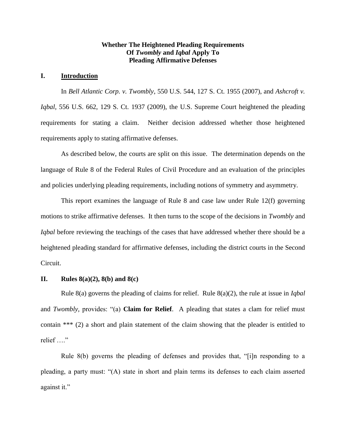# **Whether The Heightened Pleading Requirements Of** *Twombly* **and** *Iqbal* **Apply To Pleading Affirmative Defenses**

# **I. Introduction**

In *Bell Atlantic Corp. v. Twombly*, 550 U.S. 544, 127 S. Ct. 1955 (2007), and *Ashcroft v. Iqbal*, 556 U.S. 662, 129 S. Ct. 1937 (2009), the U.S. Supreme Court heightened the pleading requirements for stating a claim. Neither decision addressed whether those heightened requirements apply to stating affirmative defenses.

As described below, the courts are split on this issue. The determination depends on the language of Rule 8 of the Federal Rules of Civil Procedure and an evaluation of the principles and policies underlying pleading requirements, including notions of symmetry and asymmetry.

This report examines the language of Rule 8 and case law under Rule 12(f) governing motions to strike affirmative defenses. It then turns to the scope of the decisions in *Twombly* and *Iqbal* before reviewing the teachings of the cases that have addressed whether there should be a heightened pleading standard for affirmative defenses, including the district courts in the Second Circuit.

### **II. Rules 8(a)(2), 8(b) and 8(c)**

Rule 8(a) governs the pleading of claims for relief. Rule 8(a)(2), the rule at issue in *Iqbal* and *Twombly,* provides: "(a) **Claim for Relief**. A pleading that states a clam for relief must contain \*\*\* (2) a short and plain statement of the claim showing that the pleader is entitled to relief …."

Rule 8(b) governs the pleading of defenses and provides that, "[i]n responding to a pleading, a party must: "(A) state in short and plain terms its defenses to each claim asserted against it."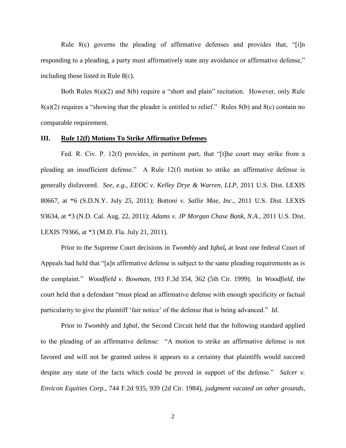Rule 8(c) governs the pleading of affirmative defenses and provides that, "[i]n responding to a pleading, a party must affirmatively state any avoidance or affirmative defense," including those listed in Rule 8(c).

Both Rules 8(a)(2) and 8(b) require a "short and plain" recitation. However, only Rule 8(a)(2) requires a "showing that the pleader is entitled to relief." Rules 8(b) and 8(c) contain no comparable requirement.

### **III. Rule 12(f) Motions To Strike Affirmative Defenses**

Fed. R. Civ. P. 12(f) provides, in pertinent part, that "[t]he court may strike from a pleading an insufficient defense." A Rule 12(f) motion to strike an affirmative defense is generally disfavored. *See, e.g., EEOC v. Kelley Drye & Warren, LLP,* 2011 U.S. Dist. LEXIS 80667, at \*6 (S.D.N.Y. July 25, 2011); *Bottoni v. Sallie Mae, Inc*., 2011 U.S. Dist. LEXIS 93634, at \*3 (N.D. Cal. Aug. 22, 2011); *Adams v. JP Morgan Chase Bank, N.A.,* 2011 U.S. Dist. LEXIS 79366, at \*3 (M.D. Fla. July 21, 2011).

Prior to the Supreme Court decisions in *Twombly* and *Iqbal,* at least one federal Court of Appeals had held that "[a]n affirmative defense is subject to the same pleading requirements as is the complaint." *Woodfield v. Bowman,* 193 F.3d 354, 362 (5th Cir. 1999). In *Woodfield,* the court held that a defendant "must plead an affirmative defense with enough specificity or factual particularity to give the plaintiff 'fair notice' of the defense that is being advanced." *Id*.

Prior to *Twombly* and *Iqbal*, the Second Circuit held that the following standard applied to the pleading of an affirmative defense: "A motion to strike an affirmative defense is not favored and will not be granted unless it appears to a certainty that plaintiffs would succeed despite any state of the facts which could be proved in support of the defense." *Salcer v. Envicon Equities Corp.,* 744 F.2d 935, 939 (2d Cir. 1984), *judgment vacated on other grounds*,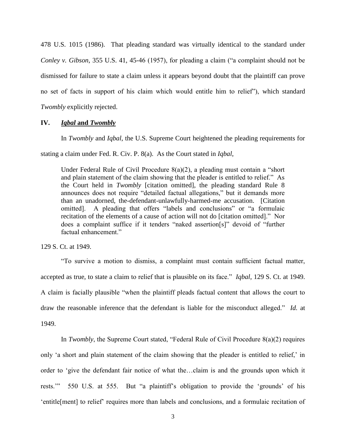478 U.S. 1015 (1986). That pleading standard was virtually identical to the standard under *Conley v. Gibson*, 355 U.S. 41, 45-46 (1957), for pleading a claim ("a complaint should not be dismissed for failure to state a claim unless it appears beyond doubt that the plaintiff can prove no set of facts in support of his claim which would entitle him to relief"), which standard *Twombly* explicitly rejected.

### **IV.** *Iqbal* **and** *Twombly*

In *Twombly* and *Iqbal*, the U.S. Supreme Court heightened the pleading requirements for stating a claim under Fed. R. Civ. P. 8(a). As the Court stated in *Iqbal*,

Under Federal Rule of Civil Procedure  $8(a)(2)$ , a pleading must contain a "short" and plain statement of the claim showing that the pleader is entitled to relief." As the Court held in *Twombly* [citation omitted], the pleading standard Rule 8 announces does not require "detailed factual allegations," but it demands more than an unadorned, the-defendant-unlawfully-harmed-me accusation. [Citation omitted]. A pleading that offers "labels and conclusions" or "a formulaic recitation of the elements of a cause of action will not do [citation omitted]." Nor does a complaint suffice if it tenders "naked assertion[s]" devoid of "further factual enhancement."

129 S. Ct. at 1949.

"To survive a motion to dismiss, a complaint must contain sufficient factual matter, accepted as true, to state a claim to relief that is plausible on its face." *Iqbal*, 129 S. Ct. at 1949. A claim is facially plausible "when the plaintiff pleads factual content that allows the court to draw the reasonable inference that the defendant is liable for the misconduct alleged." *Id.* at 1949.

In *Twombly*, the Supreme Court stated, "Federal Rule of Civil Procedure 8(a)(2) requires only 'a short and plain statement of the claim showing that the pleader is entitled to relief,' in order to 'give the defendant fair notice of what the…claim is and the grounds upon which it rests.'" 550 U.S. at 555. But "a plaintiff's obligation to provide the 'grounds' of his 'entitle[ment] to relief' requires more than labels and conclusions, and a formulaic recitation of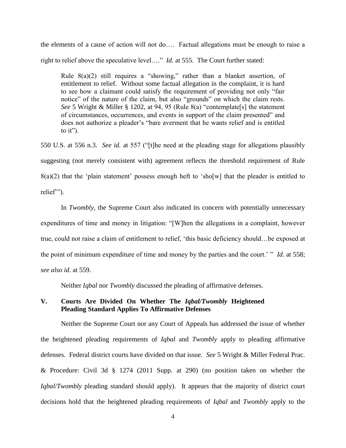the elements of a cause of action will not do…. Factual allegations must be enough to raise a right to relief above the speculative level…." *Id*. at 555. The Court further stated:

Rule  $8(a)(2)$  still requires a "showing," rather than a blanket assertion, of entitlement to relief. Without some factual allegation in the complaint, it is hard to see how a claimant could satisfy the requirement of providing not only "fair notice" of the nature of the claim, but also "grounds" on which the claim rests. *See* 5 Wright & Miller § 1202, at 94, 95 (Rule 8(a) "contemplate[s] the statement of circumstances, occurrences, and events in support of the claim presented" and does not authorize a pleader's "bare averment that he wants relief and is entitled to it").

550 U.S. at 556 n.3. *See id.* at 557 ("[t]he need at the pleading stage for allegations plausibly suggesting (not merely consistent with) agreement reflects the threshold requirement of Rule  $8(a)(2)$  that the 'plain statement' possess enough heft to 'sho[w] that the pleader is entitled to relief'").

In *Twombly*, the Supreme Court also indicated its concern with potentially unnecessary expenditures of time and money in litigation: "[W]hen the allegations in a complaint, however true, could not raise a claim of entitlement to relief, 'this basic deficiency should…be exposed at the point of minimum expenditure of time and money by the parties and the court.' " *Id*. at 558; *see also id*. at 559.

Neither *Iqbal* nor *Twombly* discussed the pleading of affirmative defenses.

# **V. Courts Are Divided On Whether The** *Iqbal/Twombly* **Heightened Pleading Standard Applies To Affirmative Defenses**

Neither the Supreme Court nor any Court of Appeals has addressed the issue of whether the heightened pleading requirements of *Iqbal* and *Twombly* apply to pleading affirmative defenses. Federal district courts have divided on that issue. *See* 5 Wright & Miller Federal Prac. & Procedure: Civil 3d § 1274 (2011 Supp. at 290) (no position taken on whether the *Iqbal/Twombly* pleading standard should apply). It appears that the majority of district court decisions hold that the heightened pleading requirements of *Iqbal* and *Twombly* apply to the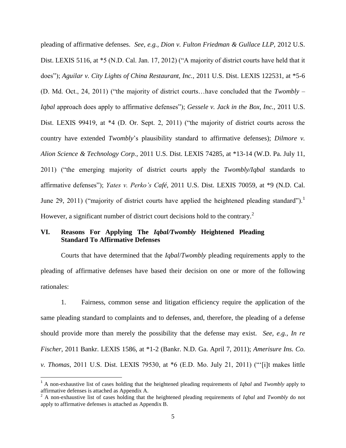pleading of affirmative defenses. *See, e.g., Dion v. Fulton Friedman & Gullace LLP,* 2012 U.S. Dist. LEXIS 5116, at \*5 (N.D. Cal. Jan. 17, 2012) ("A majority of district courts have held that it does"); *Aguilar v. City Lights of China Restaurant, Inc.,* 2011 U.S. Dist. LEXIS 122531, at \*5-6 (D. Md. Oct., 24, 2011) ("the majority of district courts…have concluded that the *Twombly – Iqbal* approach does apply to affirmative defenses"); *Gessele v. Jack in the Box, Inc.,* 2011 U.S. Dist. LEXIS 99419, at  $*4$  (D. Or. Sept. 2, 2011) ("the majority of district courts across the country have extended *Twombly*'s plausibility standard to affirmative defenses); *Dilmore v. Alion Science & Technology Corp.,* 2011 U.S. Dist. LEXIS 74285, at \*13-14 (W.D. Pa. July 11, 2011) ("the emerging majority of district courts apply the *Twombly/Iqbal* standards to affirmative defenses"); *Yates v. Perko's Café,* 2011 U.S. Dist. LEXIS 70059, at \*9 (N.D. Cal. June 29, 2011) ("majority of district courts have applied the heightened pleading standard").<sup>1</sup> However, a significant number of district court decisions hold to the contrary.<sup>2</sup>

# **VI. Reasons For Applying The** *Iqbal/Twombly* **Heightened Pleading Standard To Affirmative Defenses**

Courts that have determined that the *Iqbal*/*Twombly* pleading requirements apply to the pleading of affirmative defenses have based their decision on one or more of the following rationales:

1. Fairness, common sense and litigation efficiency require the application of the same pleading standard to complaints and to defenses, and, therefore, the pleading of a defense should provide more than merely the possibility that the defense may exist. *See, e.g., In re Fischer*, 2011 Bankr. LEXIS 1586, at \*1-2 (Bankr. N.D. Ga. April 7, 2011); *Amerisure Ins. Co. v. Thomas*, 2011 U.S. Dist. LEXIS 79530, at \*6 (E.D. Mo. July 21, 2011) ("'[i]t makes little

 $\overline{\phantom{a}}$ 

<sup>1</sup> A non-exhaustive list of cases holding that the heightened pleading requirements of *Iqbal* and *Twombly* apply to affirmative defenses is attached as Appendix A.

<sup>2</sup> A non-exhaustive list of cases holding that the heightened pleading requirements of *Iqbal* and *Twombly* do not apply to affirmative defenses is attached as Appendix B.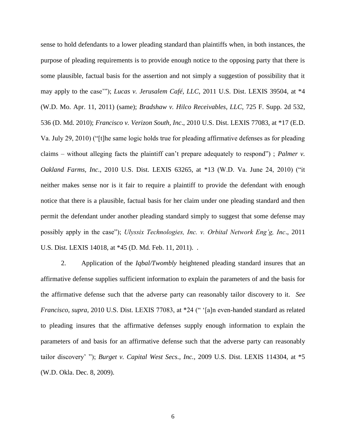sense to hold defendants to a lower pleading standard than plaintiffs when, in both instances, the purpose of pleading requirements is to provide enough notice to the opposing party that there is some plausible, factual basis for the assertion and not simply a suggestion of possibility that it may apply to the case'"); *Lucas v. Jerusalem Café, LLC*, 2011 U.S. Dist. LEXIS 39504, at \*4 (W.D. Mo. Apr. 11, 2011) (same); *Bradshaw v. Hilco Receivables, LLC*, 725 F. Supp. 2d 532, 536 (D. Md. 2010); *Francisco v. Verizon South, Inc*., 2010 U.S. Dist. LEXIS 77083, at \*17 (E.D. Va. July 29, 2010) ("[t]he same logic holds true for pleading affirmative defenses as for pleading claims – without alleging facts the plaintiff can't prepare adequately to respond") ; *Palmer v. Oakland Farms, Inc*., 2010 U.S. Dist. LEXIS 63265, at \*13 (W.D. Va. June 24, 2010) ("it neither makes sense nor is it fair to require a plaintiff to provide the defendant with enough notice that there is a plausible, factual basis for her claim under one pleading standard and then permit the defendant under another pleading standard simply to suggest that some defense may possibly apply in the case"); *Ulyssix Technologies, Inc. v. Orbital Network Eng'g, Inc*., 2011 U.S. Dist. LEXIS 14018, at \*45 (D. Md. Feb. 11, 2011). .

2. Application of the *Iqbal/Twombly* heightened pleading standard insures that an affirmative defense supplies sufficient information to explain the parameters of and the basis for the affirmative defense such that the adverse party can reasonably tailor discovery to it. *See Francisco, supra*, 2010 U.S. Dist. LEXIS 77083, at \*24 (" '[a]n even-handed standard as related to pleading insures that the affirmative defenses supply enough information to explain the parameters of and basis for an affirmative defense such that the adverse party can reasonably tailor discovery' "); *Burget v. Capital West Secs., Inc.,* 2009 U.S. Dist. LEXIS 114304, at \*5 (W.D. Okla. Dec. 8, 2009).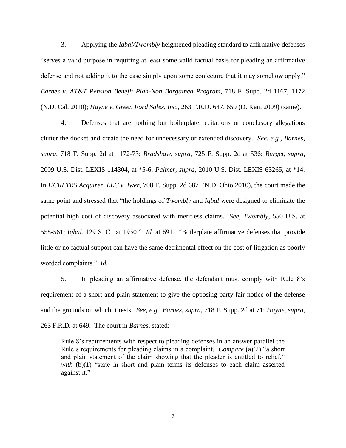3. Applying the *Iqbal/Twombly* heightened pleading standard to affirmative defenses "serves a valid purpose in requiring at least some valid factual basis for pleading an affirmative defense and not adding it to the case simply upon some conjecture that it may somehow apply." *Barnes v. AT&T Pension Benefit Plan-Non Bargained Program*, 718 F. Supp. 2d 1167, 1172 (N.D. Cal. 2010); *Hayne v. Green Ford Sales, Inc*., 263 F.R.D. 647, 650 (D. Kan. 2009) (same).

4. Defenses that are nothing but boilerplate recitations or conclusory allegations clutter the docket and create the need for unnecessary or extended discovery. *See, e.g., Barnes*, *supra*, 718 F. Supp. 2d at 1172-73; *Bradshaw, supra*, 725 F. Supp. 2d at 536; *Burget*, *supra*, 2009 U.S. Dist. LEXIS 114304, at \*5-6; *Palmer, supra*, 2010 U.S. Dist. LEXIS 63265, at \*14. In *HCRI TRS Acquirer, LLC v. Iwer*, 708 F. Supp. 2d 687 (N.D. Ohio 2010), the court made the same point and stressed that "the holdings of *Twombly* and *Iqbal* were designed to eliminate the potential high cost of discovery associated with meritless claims. *See, Twombly*, 550 U.S. at 558-561; *Iqbal*, 129 S. Ct. at 1950." *Id.* at 691. "Boilerplate affirmative defenses that provide little or no factual support can have the same detrimental effect on the cost of litigation as poorly worded complaints." *Id*.

5. In pleading an affirmative defense, the defendant must comply with Rule 8's requirement of a short and plain statement to give the opposing party fair notice of the defense and the grounds on which it rests. *See, e.g., Barnes, supra*, 718 F. Supp. 2d at 71; *Hayne, supra*, 263 F.R.D. at 649. The court in *Barnes,* stated:

Rule 8's requirements with respect to pleading defenses in an answer parallel the Rule's requirements for pleading claims in a complaint. *Compare* (a)(2) "a short and plain statement of the claim showing that the pleader is entitled to relief," *with* (b)(1) "state in short and plain terms its defenses to each claim asserted against it."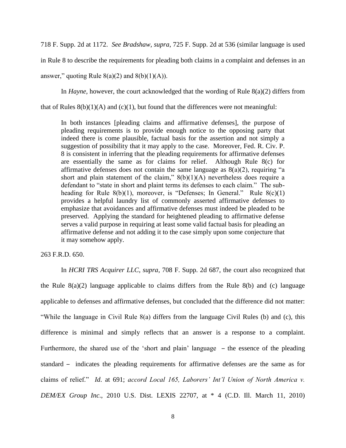718 F. Supp. 2d at 1172. *See Bradshaw, supra*, 725 F. Supp. 2d at 536 (similar language is used

in Rule 8 to describe the requirements for pleading both claims in a complaint and defenses in an

answer," quoting Rule  $8(a)(2)$  and  $8(b)(1)(A)$ ).

In *Hayne,* however, the court acknowledged that the wording of Rule 8(a)(2) differs from

that of Rules  $8(b)(1)(A)$  and  $(c)(1)$ , but found that the differences were not meaningful:

In both instances [pleading claims and affirmative defenses], the purpose of pleading requirements is to provide enough notice to the opposing party that indeed there is come plausible, factual basis for the assertion and not simply a suggestion of possibility that it may apply to the case. Moreover, Fed. R. Civ. P. 8 is consistent in inferring that the pleading requirements for affirmative defenses are essentially the same as for claims for relief. Although Rule 8(c) for affirmative defenses does not contain the same language as  $8(a)(2)$ , requiring "a short and plain statement of the claim,"  $8(b)(1)(A)$  nevertheless does require a defendant to "state in short and plaint terms its defenses to each claim." The subheading for Rule 8(b)(1), moreover, is "Defenses; In General." Rule 8(c)(1) provides a helpful laundry list of commonly asserted affirmative defenses to emphasize that avoidances and affirmative defenses must indeed be pleaded to be preserved. Applying the standard for heightened pleading to affirmative defense serves a valid purpose in requiring at least some valid factual basis for pleading an affirmative defense and not adding it to the case simply upon some conjecture that it may somehow apply.

## 263 F.R.D. 650.

In *HCRI TRS Acquirer LLC, supra*, 708 F. Supp. 2d 687, the court also recognized that the Rule  $8(a)(2)$  language applicable to claims differs from the Rule  $8(b)$  and (c) language applicable to defenses and affirmative defenses, but concluded that the difference did not matter: "While the language in Civil Rule 8(a) differs from the language Civil Rules (b) and (c), this difference is minimal and simply reflects that an answer is a response to a complaint. Furthermore, the shared use of the 'short and plain' language – the essence of the pleading standard – indicates the pleading requirements for affirmative defenses are the same as for claims of relief." *Id*. at 691; *accord Local 165, Laborers' Int'l Union of North America v. DEM/EX Group Inc*., 2010 U.S. Dist. LEXIS 22707, at \* 4 (C.D. Ill. March 11, 2010)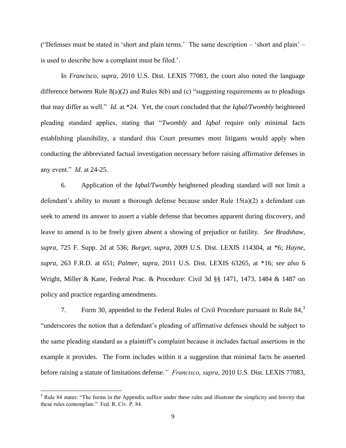("Defenses must be stated in 'short and plain terms.' The same description – 'short and plain' – is used to describe how a complaint must be filed.'.

In *Francisco, supra*, 2010 U.S. Dist. LEXIS 77083, the court also noted the language difference between Rule  $8(a)(2)$  and Rules  $8(b)$  and (c) "suggesting requirements as to pleadings that may differ as well." *Id*. at \*24. Yet, the court concluded that the *Iqbal/Twombly* heightened pleading standard applies, stating that "*Twombly* and *Iqbal* require only minimal facts establishing plausibility, a standard this Court presumes most litigants would apply when conducting the abbreviated factual investigation necessary before raising affirmative defenses in any event." *Id*. at 24-25.

6. Application of the *Iqbal/Twombly* heightened pleading standard will not limit a defendant's ability to mount a thorough defense because under Rule 15(a)(2) a defendant can seek to amend its answer to assert a viable defense that becomes apparent during discovery, and leave to amend is to be freely given absent a showing of prejudice or futility. *See Bradshaw, supra*, 725 F. Supp. 2d at 536; *Burget, supra*, 2009 U.S. Dist. LEXIS 114304, at \*6; *Hayne, supra*, 263 F.R.D. at 651; *Palmer, supra*, 2011 U.S. Dist. LEXIS 63265, at \*16; *see also* 6 Wright, Miller & Kane, Federal Prac. & Procedure: Civil 3d §§ 1471, 1473, 1484 & 1487 on policy and practice regarding amendments.

7. Form 30, appended to the Federal Rules of Civil Procedure pursuant to Rule  $84<sup>3</sup>$ "underscores the notion that a defendant's pleading of affirmative defenses should be subject to the same pleading standard as a plaintiff's complaint because it includes factual assertions in the example it provides. The Form includes within it a suggestion that minimal facts be asserted before raising a statute of limitations defense*." Francisco, supra*, 2010 U.S. Dist. LEXIS 77083,

<sup>&</sup>lt;sup>3</sup> Rule 84 states: "The forms in the Appendix suffice under these rules and illustrate the simplicity and brevity that these rules contemplate." Fed. R. Civ. P. 84.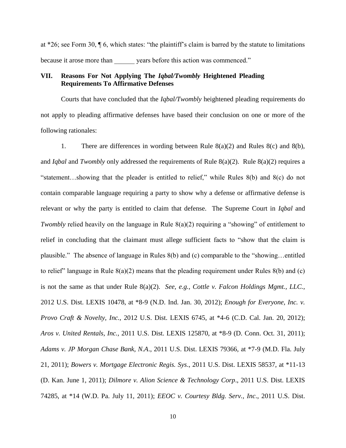at \*26; see Form 30, ¶ 6, which states: "the plaintiff's claim is barred by the statute to limitations because it arose more than years before this action was commenced."

# **VII. Reasons For Not Applying The** *Iqbal/Twombly* **Heightened Pleading Requirements To Affirmative Defenses**

Courts that have concluded that the *Iqbal/Twombly* heightened pleading requirements do not apply to pleading affirmative defenses have based their conclusion on one or more of the following rationales:

1. There are differences in wording between Rule 8(a)(2) and Rules 8(c) and 8(b), and *Iqbal* and *Twombly* only addressed the requirements of Rule 8(a)(2). Rule 8(a)(2) requires a "statement…showing that the pleader is entitled to relief," while Rules 8(b) and 8(c) do not contain comparable language requiring a party to show why a defense or affirmative defense is relevant or why the party is entitled to claim that defense. The Supreme Court in *Iqbal* and *Twombly* relied heavily on the language in Rule 8(a)(2) requiring a "showing" of entitlement to relief in concluding that the claimant must allege sufficient facts to "show that the claim is plausible." The absence of language in Rules 8(b) and (c) comparable to the "showing…entitled to relief" language in Rule  $8(a)(2)$  means that the pleading requirement under Rules  $8(b)$  and (c) is not the same as that under Rule 8(a)(2). *See, e.g., Cottle v. Falcon Holdings Mgmt., LLC.,*  2012 U.S. Dist. LEXIS 10478, at \*8-9 (N.D. Ind. Jan. 30, 2012); *Enough for Everyone, Inc. v. Provo Craft & Novelty, Inc.,* 2012 U.S. Dist. LEXIS 6745, at \*4-6 (C.D. Cal. Jan. 20, 2012); *Aros v. United Rentals, Inc.,* 2011 U.S. Dist. LEXIS 125870, at \*8-9 (D. Conn. Oct. 31, 2011); *Adams v. JP Morgan Chase Bank, N.A*., 2011 U.S. Dist. LEXIS 79366, at \*7-9 (M.D. Fla. July 21, 2011); *Bowers v. Mortgage Electronic Regis. Sys*., 2011 U.S. Dist. LEXIS 58537, at \*11-13 (D. Kan. June 1, 2011); *Dilmore v. Alion Science & Technology Corp*., 2011 U.S. Dist. LEXIS 74285, at \*14 (W.D. Pa. July 11, 2011); *EEOC v. Courtesy Bldg. Serv., Inc*., 2011 U.S. Dist.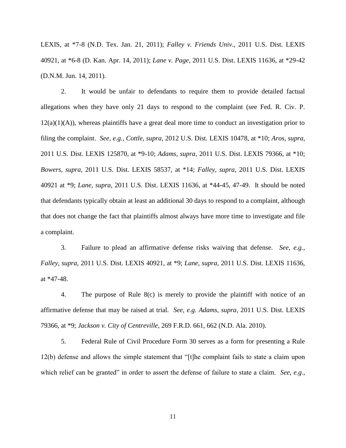LEXIS, at \*7-8 (N.D. Tex. Jan. 21, 2011); *Falley v. Friends Univ*., 2011 U.S. Dist. LEXIS 40921, at \*6-8 (D. Kan. Apr. 14, 2011); *Lane v. Page*, 2011 U.S. Dist. LEXIS 11636, at \*29-42 (D.N.M. Jun. 14, 2011).

2. It would be unfair to defendants to require them to provide detailed factual allegations when they have only 21 days to respond to the complaint (see Fed. R. Civ. P.  $12(a)(1)(A)$ , whereas plaintiffs have a great deal more time to conduct an investigation prior to filing the complaint. *See, e.g., Cottle, supra,* 2012 U.S. Dist. LEXIS 10478, at \*10; *Aros, supra,*  2011 U.S. Dist. LEXIS 125870, at \*9-10; *Adams, supra*, 2011 U.S. Dist. LEXIS 79366, at \*10; *Bowers, supra*, 2011 U.S. Dist. LEXIS 58537, at \*14; *Falley, supra*, 2011 U.S. Dist. LEXIS 40921 at \*9; *Lane, supra*, 2011 U.S. Dist. LEXIS 11636, at \*44-45, 47-49. It should be noted that defendants typically obtain at least an additional 30 days to respond to a complaint, although that does not change the fact that plaintiffs almost always have more time to investigate and file a complaint.

3. Failure to plead an affirmative defense risks waiving that defense. *See, e.g., Falley, supra*, 2011 U.S. Dist. LEXIS 40921, at \*9; *Lane, supra*, 2011 U.S. Dist. LEXIS 11636, at \*47-48.

4. The purpose of Rule 8(c) is merely to provide the plaintiff with notice of an affirmative defense that may be raised at trial*. See, e.g. Adams, supra*, 2011 U.S. Dist. LEXIS 79366, at \*9; *Jackson v. City of Centreville*, 269 F.R.D. 661, 662 (N.D. Ala. 2010).

5. Federal Rule of Civil Procedure Form 30 serves as a form for presenting a Rule 12(b) defense and allows the simple statement that "[t]he complaint fails to state a claim upon which relief can be granted" in order to assert the defense of failure to state a claim. *See, e.g.*,

11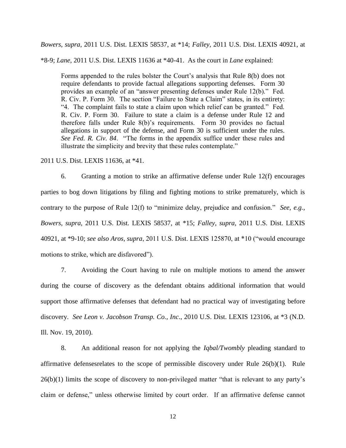*Bowers, supra*, 2011 U.S. Dist. LEXIS 58537, at \*14; *Falley,* 2011 U.S. Dist. LEXIS 40921, at

\*8-9; *Lane*, 2011 U.S. Dist. LEXIS 11636 at \*40-41. As the court in *Lane* explained:

Forms appended to the rules bolster the Court's analysis that Rule 8(b) does not require defendants to provide factual allegations supporting defenses. Form 30 provides an example of an "answer presenting defenses under Rule 12(b)." Fed. R. Civ. P. Form 30. The section "Failure to State a Claim" states, in its entirety: "4. The complaint fails to state a claim upon which relief can be granted." Fed. R. Civ. P. Form 30. Failure to state a claim is a defense under Rule 12 and therefore falls under Rule 8(b)'s requirements. Form 30 provides no factual allegations in support of the defense, and Form 30 is sufficient under the rules. *See Fed. R. Civ. 84*. "The forms in the appendix suffice under these rules and illustrate the simplicity and brevity that these rules contemplate."

2011 U.S. Dist. LEXIS 11636, at \*41.

6. Granting a motion to strike an affirmative defense under Rule 12(f) encourages parties to bog down litigations by filing and fighting motions to strike prematurely, which is contrary to the purpose of Rule 12(f) to "minimize delay, prejudice and confusion." *See, e.g., Bowers, supra*, 2011 U.S. Dist. LEXIS 58537, at \*15; *Falley, supra*, 2011 U.S. Dist. LEXIS 40921, at \*9-10; *see also Aros, supra*, 2011 U.S. Dist. LEXIS 125870, at \*10 ("would encourage motions to strike, which are disfavored").

7. Avoiding the Court having to rule on multiple motions to amend the answer during the course of discovery as the defendant obtains additional information that would support those affirmative defenses that defendant had no practical way of investigating before discovery. *See Leon v. Jacobson Transp. Co., Inc*., 2010 U.S. Dist. LEXIS 123106, at \*3 (N.D. Ill. Nov. 19, 2010).

8. An additional reason for not applying the *Iqbal/Twombly* pleading standard to affirmative defensesrelates to the scope of permissible discovery under Rule 26(b)(1). Rule 26(b)(1) limits the scope of discovery to non-privileged matter "that is relevant to any party's claim or defense," unless otherwise limited by court order. If an affirmative defense cannot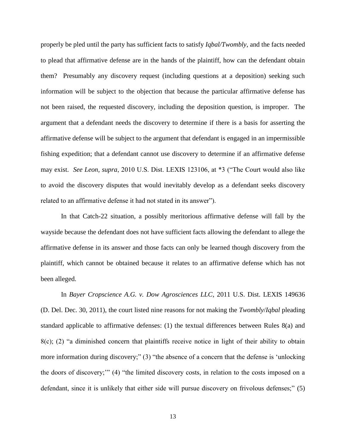properly be pled until the party has sufficient facts to satisfy *Iqbal/Twombly*, and the facts needed to plead that affirmative defense are in the hands of the plaintiff, how can the defendant obtain them? Presumably any discovery request (including questions at a deposition) seeking such information will be subject to the objection that because the particular affirmative defense has not been raised, the requested discovery, including the deposition question, is improper. The argument that a defendant needs the discovery to determine if there is a basis for asserting the affirmative defense will be subject to the argument that defendant is engaged in an impermissible fishing expedition; that a defendant cannot use discovery to determine if an affirmative defense may exist. *See Leon, supra*, 2010 U.S. Dist. LEXIS 123106, at \*3 ("The Court would also like to avoid the discovery disputes that would inevitably develop as a defendant seeks discovery related to an affirmative defense it had not stated in its answer").

In that Catch-22 situation, a possibly meritorious affirmative defense will fall by the wayside because the defendant does not have sufficient facts allowing the defendant to allege the affirmative defense in its answer and those facts can only be learned though discovery from the plaintiff, which cannot be obtained because it relates to an affirmative defense which has not been alleged.

In *Bayer Cropscience A.G. v. Dow Agrosciences LLC*, 2011 U.S. Dist. LEXIS 149636 (D. Del. Dec. 30, 2011), the court listed nine reasons for not making the *Twombly*/*Iqbal* pleading standard applicable to affirmative defenses: (1) the textual differences between Rules 8(a) and 8(c); (2) "a diminished concern that plaintiffs receive notice in light of their ability to obtain more information during discovery;" (3) "the absence of a concern that the defense is 'unlocking the doors of discovery;'" (4) "the limited discovery costs, in relation to the costs imposed on a defendant, since it is unlikely that either side will pursue discovery on frivolous defenses;" (5)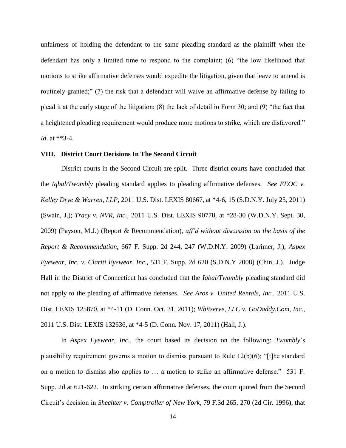unfairness of holding the defendant to the same pleading standard as the plaintiff when the defendant has only a limited time to respond to the complaint; (6) "the low likelihood that motions to strike affirmative defenses would expedite the litigation, given that leave to amend is routinely granted;" (7) the risk that a defendant will waive an affirmative defense by failing to plead it at the early stage of the litigation; (8) the lack of detail in Form 30; and (9) "the fact that a heightened pleading requirement would produce more motions to strike, which are disfavored." *Id*. at \*\*3-4.

#### **VIII. District Court Decisions In The Second Circuit**

District courts in the Second Circuit are split. Three district courts have concluded that the *Iqbal/Twombly* pleading standard applies to pleading affirmative defenses. *See EEOC v. Kelley Drye & Warren, LLP*, 2011 U.S. Dist. LEXIS 80667, at \*4-6, 15 (S.D.N.Y. July 25, 2011) (Swain, J.); *Tracy v. NVR, Inc.*, 2011 U.S. Dist. LEXIS 90778, at \*28-30 (W.D.N.Y. Sept. 30, 2009) (Payson, M.J.) (Report & Recommendation), *aff'd without discussion on the basis of the Report & Recommendation*, 667 F. Supp. 2d 244, 247 (W.D.N.Y. 2009) (Larimer, J.); *Aspex Eyewear, Inc. v. Clariti Eyewear, Inc*., 531 F. Supp. 2d 620 (S.D.N.Y 2008) (Chin, J.). Judge Hall in the District of Connecticut has concluded that the *Iqbal/Twombly* pleading standard did not apply to the pleading of affirmative defenses. *See Aros v. United Rentals, Inc*., 2011 U.S. Dist. LEXIS 125870, at \*4-11 (D. Conn. Oct. 31, 2011); *Whitserve, LLC v. GoDaddy.Com, Inc*., 2011 U.S. Dist. LEXIS 132636, at \*4-5 (D. Conn. Nov. 17, 2011) (Hall, J.).

In *Aspex Eyewear, Inc.,* the court based its decision on the following: *Twombly*'s plausibility requirement governs a motion to dismiss pursuant to Rule 12(b)(6); "[t]he standard on a motion to dismiss also applies to … a motion to strike an affirmative defense." 531 F. Supp. 2d at 621-622. In striking certain affirmative defenses, the court quoted from the Second Circuit's decision in *Shechter v. Comptroller of New York*, 79 F.3d 265, 270 (2d Cir. 1996), that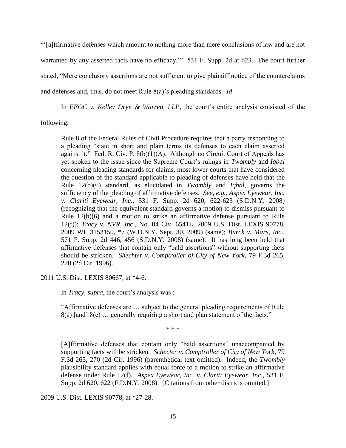"'[a]ffirmative defenses which amount to nothing more than mere conclusions of law and are not warranted by any asserted facts have no efficacy." 531 F. Supp. 2d at 623. The court further stated, "Mere conclusory assertions are not sufficient to give plaintiff notice of the counterclaims and defenses and, thus, do not meet Rule 8(a)'s pleading standards. *Id*.

In *EEOC v. Kelley Drye & Warren, LLP,* the court's entire analysis consisted of the following:

Rule 8 of the Federal Rules of Civil Procedure requires that a party responding to a pleading "state in short and plain terms its defenses to each claim asserted against it." Fed. R. Civ. P.  $8(b)(1)(A)$ . Although no Circuit Court of Appeals has yet spoken to the issue since the Supreme Court's rulings in *Twombly* and *Iqbal* concerning pleading standards for claims, most lower courts that have considered the question of the standard applicable to pleading of defenses have held that the Rule 12(b)(6) standard, as elucidated in *Twombly* and *Iqbal*, governs the sufficiency of the pleading of affirmative defenses. *See, e.g., Aspex Eyewear, Inc. v. Clariti Eyewear, Inc.*, 531 F. Supp. 2d 620, 622-623 (S.D.N.Y. 2008) (recognizing that the equivalent standard governs a motion to dismiss pursuant to Rule 12(b)(6) and a motion to strike an affirmative defense pursuant to Rule 12(f)); *Tracy v. NVR, Inc*., No. 04 Civ. 6541L, 2009 U.S. Dist. LEXIS 90778, 2009 WL 3153150, \*7 (W.D.N.Y. Sept. 30, 2009) (same); *Burck v. Mars*, *Inc*., 571 F. Supp. 2d 446, 456 (S.D.N.Y. 2008) (same). It has long been held that affirmative defenses that contain only "bald assertions" without supporting facts should be stricken. *Shechter v. Comptroller of City of New York*, 79 F.3d 265, 270 (2d Cir. 1996).

2011 U.S. Dist. LEXIS 80667, at \*4-6.

In *Tracy, supra*, the court's analysis was :

"Affirmative defenses are … subject to the general pleading requirements of Rule 8(a) [and] 8(e) … generally requiring a short and plan statement of the facts."

\* \* \*

[A]ffirmative defenses that contain only "bald assertions" unaccompanied by supporting facts will be stricken. *Schecter v. Comptroller of City of New York*, 79 F.3d 265, 270 (2d Cir. 1996) (parenthetical text omitted). Indeed, the *Twombly* plausibility standard applies with equal force to a motion to strike an affirmative defense under Rule 12(f). *Aspex Eyewear, Inc. v. Clariti Eyewear, Inc*., 531 F. Supp. 2d 620, 622 (F.D.N.Y. 2008). [Citations from other districts omitted.]

2009 U.S. Dist. LEXIS 90778, at \*27-28.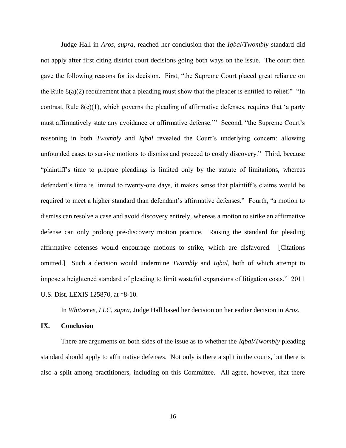Judge Hall in *Aros, supra*, reached her conclusion that the *Iqbal*/*Twombly* standard did not apply after first citing district court decisions going both ways on the issue. The court then gave the following reasons for its decision. First, "the Supreme Court placed great reliance on the Rule  $8(a)(2)$  requirement that a pleading must show that the pleader is entitled to relief." "In contrast, Rule  $8(c)(1)$ , which governs the pleading of affirmative defenses, requires that 'a party must affirmatively state any avoidance or affirmative defense.'" Second, "the Supreme Court's reasoning in both *Twombly* and *Iqbal* revealed the Court's underlying concern: allowing unfounded cases to survive motions to dismiss and proceed to costly discovery." Third, because "plaintiff's time to prepare pleadings is limited only by the statute of limitations, whereas defendant's time is limited to twenty-one days, it makes sense that plaintiff's claims would be required to meet a higher standard than defendant's affirmative defenses." Fourth, "a motion to dismiss can resolve a case and avoid discovery entirely, whereas a motion to strike an affirmative defense can only prolong pre-discovery motion practice. Raising the standard for pleading affirmative defenses would encourage motions to strike, which are disfavored. [Citations omitted.] Such a decision would undermine *Twombly* and *Iqbal*, both of which attempt to impose a heightened standard of pleading to limit wasteful expansions of litigation costs." 2011 U.S. Dist. LEXIS 125870, at \*8-10.

In *Whitserve, LLC, supra*, Judge Hall based her decision on her earlier decision in *Aros*.

### **IX. Conclusion**

There are arguments on both sides of the issue as to whether the *Iqbal/Twombly* pleading standard should apply to affirmative defenses. Not only is there a split in the courts, but there is also a split among practitioners, including on this Committee. All agree, however, that there